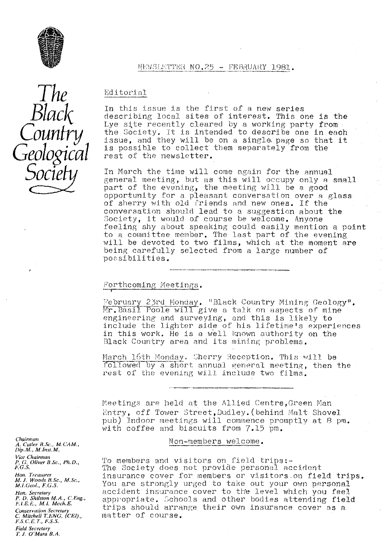

#### WEWSLETTER NO.25 - FEBRUARY 1981.

The *Black Country Geological Socie*

## Editorial

In this issue is the first of a new series describing local sites of interest. This one is the Lye site recently cleared by a working party from the Society. It is Intended to describe one in each issue, and they will be on a single page so that it is possible to collect them separately from the rest of the newsletter.

In March the time will come again for the annual general meeting, but as this will occupy only a small part of the evening, the meeting will be a good opportunity for a pleasant conversation over a glass of sherry with old friends and new ones. If the conversation should lead to a suggestion about the Society, it would of course be welcome. Anyone feeling shy about speaking could easily mention a point to a committee member. The last part of the evening will be devoted to two films, which at the moment are being carefully selected from a large number **of** possibilities.

# Forthcoming Meetings.

**'7\_'**

February 23rd Monday. "Black Country Mining Geology". Mr. Basil Poole will give a talk on aspects of mine engineering and surveying, and this is likely to include the lighter side of his lifetime's experiences in this work. He is a well lqiown authority on the Black Country area and its mining problems.

March 16th Monday. Sherry Reception. This will be followed by a short annual general meeting, then the rest of the evening will include two films.

Meetings are held at the Allied Centre, Green Man Entry, off Tower street, Dudley. (behind. Malt Shovel pub) Indoor meetings will commence promptly at 8 pm. with coffee and biscuits from 7.15 pm.

Non-members welcome.

To members and visitors on field trips The Society does not provide personal accident insurance cover for members or visitors.on field trips. You are strongly urged to take out your own personal accident insurance cover to the level which you feel appropriate. Schools and other bodies attending field trips should arrange their own insurance cover as a matter of course.

*chairman A. Cutler* f.Sc" *M.CAM., Dip. M. M. Inst. M. Vice Chairman P. (7. Oliver B.Sc., Ph.D., F. G, S. Ho<sup>p</sup> i. Treasurer M. J. Woods B. Sc,,* M. Sc,, M.I.Geol., F.G.S.

*Hon. Secretary P. D. Shilsion M.A., C,Eng., I.l.e.E., M.l. Mt'clr.E. Conservation Secretary* C. Hilrbelr *T ENG. (CE!).,*  $F.S. C.E. T. F.S.S.$ *Field Secretary 1', J. O'Mara B.A.*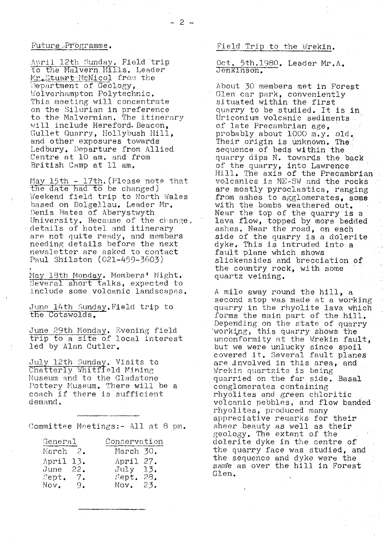#### Future Programme.

April 12th Sunday. Field trip o the Malvern Hills. Leader Lo the Malvern hills, mead Department of Geology, Wolverhampton Polytechnic. This meeting will concentrate on the Silurian in preference to the Malvernian. The itinerary will include Hereford, Beacon, Gullet Quarry, Hollybush Hill, and other exposures towards Ledbury. Departure from Allied Centre at 10 am. and from British Camp at 11 am.

Ma<sup>y</sup> 15th - 17th. (Please note that  $\frac{1}{\text{date had}}$  to be changed) Weekend field trip to worth Wales based on Dolgellau. Leader Mr. Denis Rates of Aberystwyth University. Because of the change, details of hotel and itinerary are not quite ready, and members needing details before the next newsletter are asked to contact Paul Shilston (021-459-3603)

May 18th Monday. Members' Night. Several short talks, expected to include some volcanic landscapes.

June 14th Sunday. Field trip to the Cotswolds.

June 29th Monday. Evening field  $\frac{1}{\pi}$  to  $\frac{1}{\pi}$  site of local interest led by Alan Cutler.

July 12th Sunday. Visits to Chatterly Whitfleld Mining Museum and to the Gladstone Pottery Museum. There will be a coach if there is sufficient demand.

Committee Meetings:- All at 8 pm.

| General                        |                            | Conservation                                         |
|--------------------------------|----------------------------|------------------------------------------------------|
| March                          | $-2$ .                     | March 30.                                            |
| April<br>June<br>Sept.<br>Nov. | -13.<br>22.<br>$-7.$<br>9. | April 27.<br>July 13.<br>28.<br>Sept.<br>Nov.<br>23. |

### Field Trip to the Wrekin.

# Oct. 5th.1980. Leader Mr.A.<br>Jenkinson.

About 30 members met in Forest Glen car park, conveniently situated within the first quarry to be studied. It is in Uriconium volcanic sediments of late Precambrian age, probably about 1000 m.y. old. Their origin is unknown. The sequence of beds within the quarry dips N. towards the back of the quarry, into Lawrence. Hill. The axis of the Precambrian volcanics is NE-SW and the rocks are mostly pyroclastics, ranging from ashes to agglomerates, some with the bombs weathered out. Near the top of the quarry is a lava flow, topped by more bedded ashes. Near the road, on each side of the quarry is a dolerite dyke. This is intruded into:a fault plane which shows slickensides and brecciation.of the country rock, with some quartz veining.

A mile away round the hill, a second stop was made at a working quarry in the rhyolite lava which forms the main part of the hill. Depending on the state of quarry working, this quarry shows the unconformity at the Wrekin fault, but we were unlucky since spoil covered it. Several fault planes are involved in this area, and Wrekin quartzite is being quarried on the far side. Basal conglomerates containing rhyolites and green chloritic volcanic pebbles, and flow banded rhyolites, produced many appreciative remarks for their sheer beauty as well as their. geology. The extent of the dolerite dyke in the centre of the quarry face was studied, and the sequence and dyke were the same as over the hill in Forest Glen.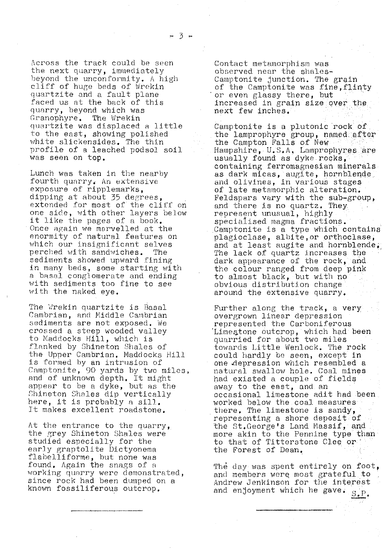- 3 -

Across the track could be seen the next quarry, immediately beyond the unconformity. A high cliff of huge beds of Wrekin quartzite and a fault plane faced us at the back of this quarry, beyond. which was Granophyre. The Wrekin quartzite was displaced a little to the east, showing polished white slickensides, The thin profile of a leached podsol soil was seen on top.

Lunch was taken in the nearby fourth quarry, An extensive exposure of ripplemarks, dipping at about 35 degrees, extended for most of the cliff on one side, with other layers below it like the pages of a book. Once again we marvelled at the enormity of natural features on which our insignificant selves perched with sandwiches. The sediments showed upward fining in many beds, some starting with a basal. conglomerate and ending with sediments too fine to see with the naked eye.

The Wrekin quartzite is Basal Cambrian, and Middle Cambrian sediments are not exposed, We crossed a steep wooded valley to Maddocks Hill, which is flanked by Shineton Shales of the Upper Cambrian. Maddocks Hill is formed by an intrusion of Camptonite, 90 yards by two miles, and of unknown depth. It might appear to be a dyke, but as the Shineton Shales dip vertically here, it is probably a sill. It makes excellent roadstone.

At the entrance to the quarry, the grey Shineton Shales were studied especially for the early graptolite Dictyonema flabelliforme, but none was found, Again the snags of a. working quarry were demonstrated, since rock had been dumped on a known fossiliferous outcrop,

Contact metamorphism was observed near the shales-Camptonite junction. The grain of the Camptonite was fine, flinty or even glassy there, but increased in grain size over the. next few inches.

Camptonite is a plutonic rock of the lamprophyre group, named.after the Campton Falls of New  $\texttt{Hampshire}, \ \texttt{U.S.A.}$  Lamprophyres are usually found as dyke rpcks,• containing ferromagnesian minerals as dark micas, augite, hornblende and olivines, in various stages of late metamorphic alteration. Feldspars vary with the sub-group, and there is no quartz. They represent unusual, highly specialised magma fractions. Camptonite is a type which contains plagioclase, albite,or orthoclase; and at least augite and hornblende, The lack of quartz increases the dark appearance of the rock, and the colour ranged from deep pink to almost black, but with no obvious distribution change. around the extensive quarry.

Further along the track, a very overgrown linear depression represented the Carboniferous Limestone outcrop, which had been quarried for about two miles towards Little Wenlock. The rock could hardly be seen, except in one depression which resembled a natural swallow hole. Coal mines had existed a couple of fields away to the east, and an occasional limestone adit had been worked below the.coal measures there. The limestone is sandy, representing a shore deposit of the St.George's Land Massif, and more akin to the Pennine type than to that of Titterstone Clee or the Forest of Dean.

The day was spent entirely on foot, and members werq most grateful to Andrew Jenkinson for the interest and enjoyment which he gave.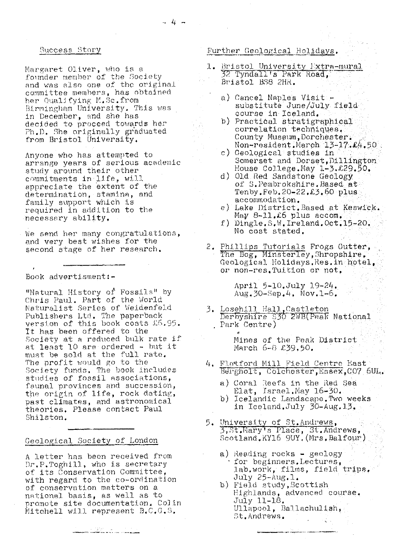#### Success Story

Margaret Oliver, who is a founder member of the Society<br>and was also one of the original committee members, has obtained her Qualifying M.Sc.from Birmingham University. This was in December, and she has decided to proceed towards her Ph.D. She originally graduated from Bristol University.

Anyone who has attempted to arrange years of serious academic study around their other commitments in life, will appreciate the extent of the determination, stamina, and<br>family support which is required in addition to the necessary ability.

We send her many congratulations, and very best wishes for the second stage of her research.

Book advertisment:-

"Natural History of Fossils" by Chris Paul. Part of the World Naturalist Series of Weidenfeld Publishers Ltd. The paperback<br>version of this book costs £5.95. It has been offered to the Society at a reduced bulk rate if at least 10 are ordered - but it must be sold at the full rate. The profit would go to the Society funds. The book includes studies of fossil associations, faunal provinces and succession, the origin of life, rock dating, past climates, and astronomical theories. Please contact Paul Shilston.

#### Geological Society of London

A letter has been received from Dr.P.Toghill, who is secretary of its Conservation Committee, with regard to the co-ordination of conservation matters on a national basis, as well as to promote site documentation. Colin Mitchell will represent B.C.G.S.

# Further Geological Holidays.

- 1. Bristol University Extra-mural<br>32 Tyndall's Park Road, Bristol BS8 2HR.
	- a) Cancel Naples Visit substitute June/July field course in Iceland.
	- b) Practical stratigraphical correlation techniques. County Museum, Dorchester. Non-resident. March 13-17.24.50
	- c) Geological studies in Somerset and Dorset, Dillington House College.May 1-3.£29.50.
	- d) Old Red Sandstone Geology of S. Pembrokshire. Based at Tenby.Feb.20-22.£3.60 plus accommodation.
	- e) Lake District. Based at Keswick. May  $8-11.26$  plus accom.
	- $f)$  Dingle. S.W. Ireland. Oct. 15-20. No cost stated.
- 2. Phillips Tutorials Frogs Gutter,<br>The Bog, Minsterley, Shropshire. Geological Holidays. Res. in hotel. or non-res. Tuition or not.

April 5-10. July 19-24.  $Aug.30-Sep.4. Nov.1-6.$ 

3. Losehill Hall, Castleton<br>Derbyshire \$30 2WB(Peak National Park Centre)

> Mines of the Peak District March 6-8 £39.50.

- 4. Flatford Mill Field Centre East Bergholt, Colchester, Essex, CO7 6UL.
	- a) Coral Reefs in the Red Sea<br>Elat, Israel.May 16-30.
	- b) Icelandic Landscape. Two weeks in Iceland.July 30-Aug.13.
- 5. University of St.Andrews,<br>3, St.Mary's Place, St.Andrews,<br>Scotland.KY16 9UY.(Mrs.Balfour)
	- a) Reading rocks geology for beginners. Lectures,<br>lab.work, films, field trips.  $July 25 - Aug.1.$
	- b) Field study, Scottish Highlands, advanced course. July 11-18. Ullapool, Ballachulish, St.Andrews.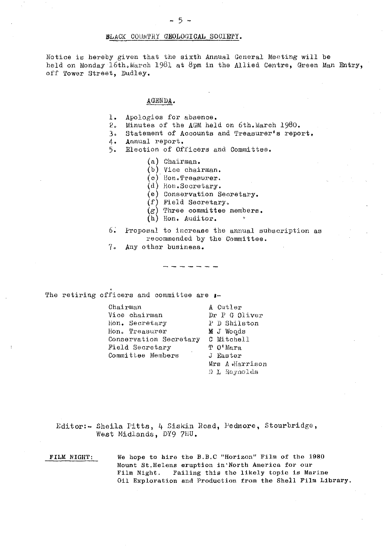#### BLACK COUNTRY GEOLOGICAL SOCIETY.

Notice is hereby given that the sixth Annual General Meeting will be held on Monday 16th. March 1981 at 8pm in the Allied Centre, Green Man Entry, off Tower Street, Dudley.

#### AGENDA .

- 1. Apologies for absence.<br>2. Minutes of the AGM hel
- 
- 2. Minutes of the AGM held on 6th. March 1980.<br>3. Statement of Accounts and Treasurer's repo: Statement of Accounts and Treasurer's report.
- 4. Annual report.
- 5. Election of Officers and Committee.
	- (a) Chairman.
	- (b) Vice chairman,
	- (c) lion.Treasu.rex.
	- (d.) Hon.Secretary.
	- (e) Conservation Secretary.
	- (f) Field Secretary,
	- $(g)$  Three committee members.<br>(b) Hone Auditor
	- (h) Hon. Auditor.
- 6: Proposal to iucreaee the annual subscription as recommended by the Committee.
- $7\cdot$ ny other business.

The retiring officers and committee are  $\cdot$ 

Chairman Vice chairman Hon. Secretary Hon. Treasurer Conservation Secretary C Mitchell Field Secretary Committee Members

A Cutler Dr P G Oliver P D Shilston **M** J Woods T O'Mara J Easter Mrs A «Harrison D L Reynolds

Editor:- Sheila Pitta, 4 Sisk:in Road, Fedmore, Stourbridge, West Midlands, DY9 7HU.

FILM NIGHT: We hope to hire the B.B.0 "Horizon" Film of the 1980 Mount St.Helens eruption in`North America for our Film Night. Failing this the likely topic is Marine Oil Exploration and Production from the Shell Film Library.